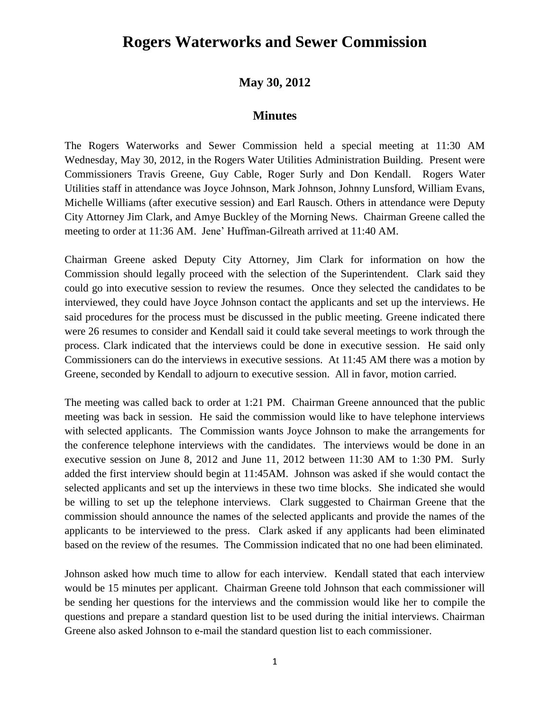## **Rogers Waterworks and Sewer Commission**

## **May 30, 2012**

## **Minutes**

The Rogers Waterworks and Sewer Commission held a special meeting at 11:30 AM Wednesday, May 30, 2012, in the Rogers Water Utilities Administration Building. Present were Commissioners Travis Greene, Guy Cable, Roger Surly and Don Kendall. Rogers Water Utilities staff in attendance was Joyce Johnson, Mark Johnson, Johnny Lunsford, William Evans, Michelle Williams (after executive session) and Earl Rausch. Others in attendance were Deputy City Attorney Jim Clark, and Amye Buckley of the Morning News. Chairman Greene called the meeting to order at 11:36 AM. Jene' Huffman-Gilreath arrived at 11:40 AM.

Chairman Greene asked Deputy City Attorney, Jim Clark for information on how the Commission should legally proceed with the selection of the Superintendent. Clark said they could go into executive session to review the resumes. Once they selected the candidates to be interviewed, they could have Joyce Johnson contact the applicants and set up the interviews. He said procedures for the process must be discussed in the public meeting. Greene indicated there were 26 resumes to consider and Kendall said it could take several meetings to work through the process. Clark indicated that the interviews could be done in executive session. He said only Commissioners can do the interviews in executive sessions. At 11:45 AM there was a motion by Greene, seconded by Kendall to adjourn to executive session. All in favor, motion carried.

The meeting was called back to order at 1:21 PM. Chairman Greene announced that the public meeting was back in session. He said the commission would like to have telephone interviews with selected applicants. The Commission wants Joyce Johnson to make the arrangements for the conference telephone interviews with the candidates. The interviews would be done in an executive session on June 8, 2012 and June 11, 2012 between 11:30 AM to 1:30 PM. Surly added the first interview should begin at 11:45AM. Johnson was asked if she would contact the selected applicants and set up the interviews in these two time blocks. She indicated she would be willing to set up the telephone interviews. Clark suggested to Chairman Greene that the commission should announce the names of the selected applicants and provide the names of the applicants to be interviewed to the press. Clark asked if any applicants had been eliminated based on the review of the resumes. The Commission indicated that no one had been eliminated.

Johnson asked how much time to allow for each interview. Kendall stated that each interview would be 15 minutes per applicant. Chairman Greene told Johnson that each commissioner will be sending her questions for the interviews and the commission would like her to compile the questions and prepare a standard question list to be used during the initial interviews. Chairman Greene also asked Johnson to e-mail the standard question list to each commissioner.